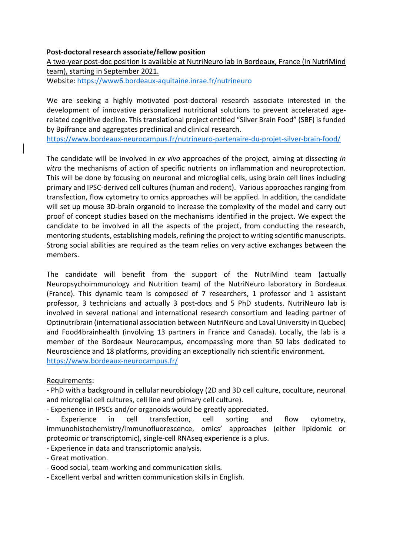## **Post-doctoral research associate/fellow position**

A two-year post-doc position is available at NutriNeuro lab in Bordeaux, France (in NutriMind team), starting in September 2021. Website: https://www6.bordeaux-aquitaine.inrae.fr/nutrineuro

We are seeking a highly motivated post-doctoral research associate interested in the development of innovative personalized nutritional solutions to prevent accelerated agerelated cognitive decline. This translational project entitled "Silver Brain Food" (SBF) is funded by Bpifrance and aggregates preclinical and clinical research.

https://www.bordeaux-neurocampus.fr/nutrineuro-partenaire-du-projet-silver-brain-food/

The candidate will be involved in *ex vivo* approaches of the project, aiming at dissecting *in vitro* the mechanisms of action of specific nutrients on inflammation and neuroprotection. This will be done by focusing on neuronal and microglial cells, using brain cell lines including primary and IPSC-derived cell cultures (human and rodent). Various approaches ranging from transfection, flow cytometry to omics approaches will be applied. In addition, the candidate will set up mouse 3D-brain organoid to increase the complexity of the model and carry out proof of concept studies based on the mechanisms identified in the project. We expect the candidate to be involved in all the aspects of the project, from conducting the research, mentoring students, establishing models, refining the project to writing scientific manuscripts. Strong social abilities are required as the team relies on very active exchanges between the members.

The candidate will benefit from the support of the NutriMind team (actually Neuropsychoimmunology and Nutrition team) of the NutriNeuro laboratory in Bordeaux (France). This dynamic team is composed of 7 researchers, 1 professor and 1 assistant professor, 3 technicians and actually 3 post-docs and 5 PhD students. NutriNeuro lab is involved in several national and international research consortium and leading partner of Optinutribrain (international association between NutriNeuro and Laval University in Quebec) and Food4brainhealth (involving 13 partners in France and Canada). Locally, the lab is a member of the Bordeaux Neurocampus, encompassing more than 50 labs dedicated to Neuroscience and 18 platforms, providing an exceptionally rich scientific environment. https://www.bordeaux-neurocampus.fr/

Requirements:

- PhD with a background in cellular neurobiology (2D and 3D cell culture, coculture, neuronal and microglial cell cultures, cell line and primary cell culture).

- Experience in IPSCs and/or organoids would be greatly appreciated.

Experience in cell transfection, cell sorting and flow cytometry, immunohistochemistry/immunofluorescence, omics' approaches (either lipidomic or proteomic or transcriptomic), single-cell RNAseq experience is a plus.

- Experience in data and transcriptomic analysis.

- Great motivation.

- Good social, team-working and communication skills.

- Excellent verbal and written communication skills in English.